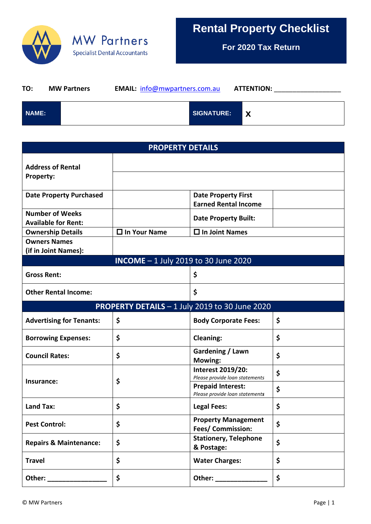

## **MW Partners Specialist Dental Accountants**

**For 2020 Tax Return**

| TO:   | <b>MW Partners</b> | <b>EMAIL:</b> info@mwpartners.com.au |                   | <b>ATTENTION:</b> |  |
|-------|--------------------|--------------------------------------|-------------------|-------------------|--|
| NAME: |                    |                                      | <b>SIGNATURE:</b> |                   |  |

| <b>PROPERTY DETAILS</b>                              |                     |                                                            |    |  |  |  |  |
|------------------------------------------------------|---------------------|------------------------------------------------------------|----|--|--|--|--|
| <b>Address of Rental</b><br><b>Property:</b>         |                     |                                                            |    |  |  |  |  |
| <b>Date Property Purchased</b>                       |                     | <b>Date Property First</b><br><b>Earned Rental Income</b>  |    |  |  |  |  |
| <b>Number of Weeks</b><br><b>Available for Rent:</b> |                     | <b>Date Property Built:</b>                                |    |  |  |  |  |
| <b>Ownership Details</b><br><b>Owners Names</b>      | $\Box$ In Your Name | $\Box$ In Joint Names                                      |    |  |  |  |  |
| (if in Joint Names):                                 |                     |                                                            |    |  |  |  |  |
| <b>INCOME</b> - 1 July 2019 to 30 June 2020          |                     |                                                            |    |  |  |  |  |
| <b>Gross Rent:</b>                                   |                     | \$                                                         |    |  |  |  |  |
| <b>Other Rental Income:</b>                          |                     | \$                                                         |    |  |  |  |  |
| PROPERTY DETAILS - 1 July 2019 to 30 June 2020       |                     |                                                            |    |  |  |  |  |
| <b>Advertising for Tenants:</b>                      | \$                  | <b>Body Corporate Fees:</b>                                | \$ |  |  |  |  |
| <b>Borrowing Expenses:</b>                           | \$                  | <b>Cleaning:</b>                                           | \$ |  |  |  |  |
| <b>Council Rates:</b>                                | \$                  | Gardening / Lawn<br>Mowing:                                | \$ |  |  |  |  |
| Insurance:                                           | \$                  | Interest 2019/20:<br>Please provide loan statements        | \$ |  |  |  |  |
|                                                      |                     | <b>Prepaid Interest:</b><br>Please provide loan statements | \$ |  |  |  |  |
| <b>Land Tax:</b>                                     | \$                  | <b>Legal Fees:</b>                                         | \$ |  |  |  |  |
| <b>Pest Control:</b>                                 | \$                  | <b>Property Management</b><br>Fees/ Commission:            | \$ |  |  |  |  |
| <b>Repairs &amp; Maintenance:</b>                    | \$                  | <b>Stationery, Telephone</b><br>& Postage:                 | \$ |  |  |  |  |
| <b>Travel</b>                                        | \$                  | <b>Water Charges:</b>                                      | \$ |  |  |  |  |
|                                                      | \$                  |                                                            | \$ |  |  |  |  |